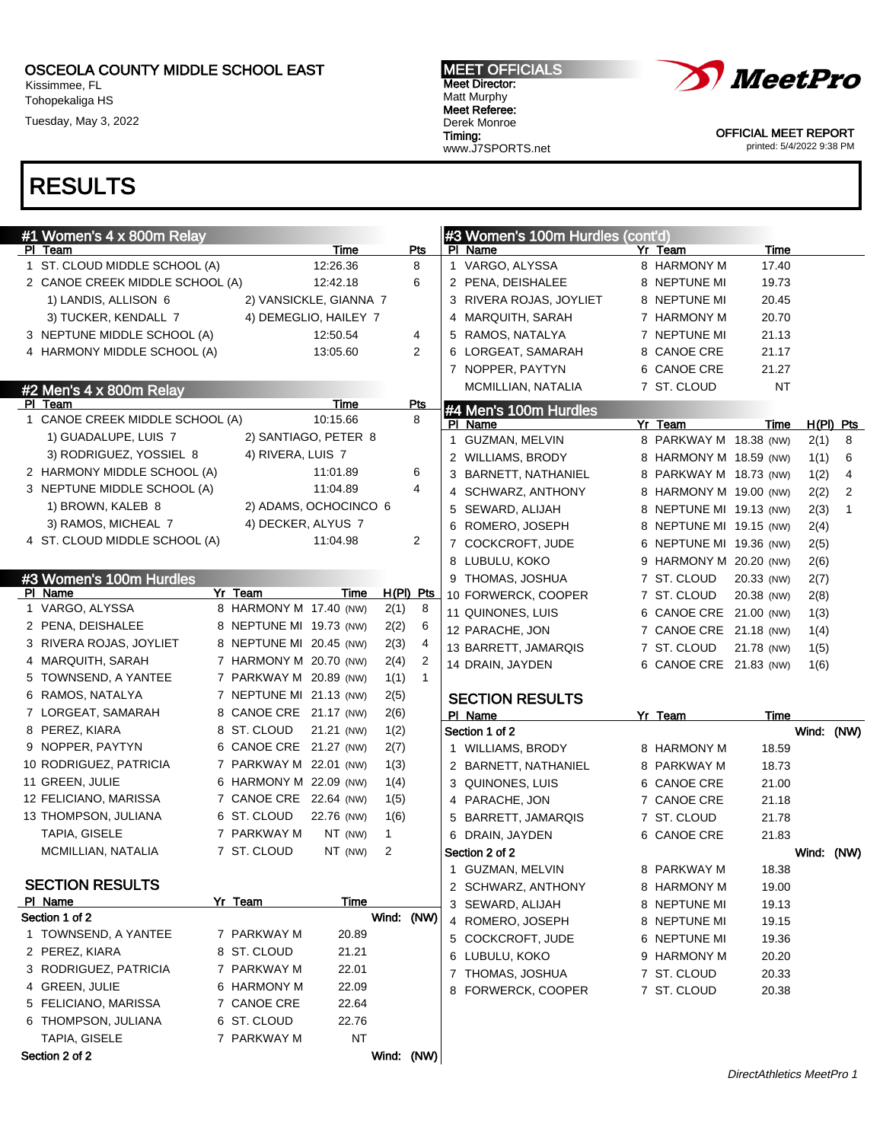Kissimmee, FL Tohopekaliga HS

Tuesday, May 3, 2022

#### MEET OFFICIALS Meet Director: Matt Murphy Meet Referee: Derek Monroe Timing: www.J7SPORTS.net



OFFICIAL MEET REPORT printed: 5/4/2022 9:38 PM

| #1 Women's 4 x 800m Relay       |                         |                        |            |                | #3 Women's 100m Hurdles (cont'd) |                         |            |            |              |
|---------------------------------|-------------------------|------------------------|------------|----------------|----------------------------------|-------------------------|------------|------------|--------------|
| PI Team                         |                         | Time                   |            | Pts            | PI Name                          | Yr Team                 | Time       |            |              |
| 1 ST. CLOUD MIDDLE SCHOOL (A)   |                         | 12:26.36               |            | 8              | 1 VARGO, ALYSSA                  | 8 HARMONY M             | 17.40      |            |              |
| 2 CANOE CREEK MIDDLE SCHOOL (A) |                         | 12:42.18               |            | 6              | 2 PENA, DEISHALEE                | 8 NEPTUNE MI            | 19.73      |            |              |
| 1) LANDIS, ALLISON 6            |                         | 2) VANSICKLE, GIANNA 7 |            |                | 3 RIVERA ROJAS, JOYLIET          | 8 NEPTUNE MI            | 20.45      |            |              |
| 3) TUCKER, KENDALL 7            |                         | 4) DEMEGLIO, HAILEY 7  |            |                | 4 MARQUITH, SARAH                | 7 HARMONY M             | 20.70      |            |              |
| 3 NEPTUNE MIDDLE SCHOOL (A)     |                         | 12:50.54               |            | 4              | 5 RAMOS, NATALYA                 | 7 NEPTUNE MI            | 21.13      |            |              |
| 4 HARMONY MIDDLE SCHOOL (A)     |                         | 13:05.60               |            | $\overline{2}$ | 6 LORGEAT, SAMARAH               | 8 CANOE CRE             | 21.17      |            |              |
|                                 |                         |                        |            |                | 7 NOPPER, PAYTYN                 | 6 CANOE CRE             | 21.27      |            |              |
| #2 Men's 4 x 800m Relay         |                         |                        |            |                | MCMILLIAN, NATALIA               | 7 ST. CLOUD             | <b>NT</b>  |            |              |
| PI Team                         |                         | Time                   |            | <b>Pts</b>     | #4 Men's 100m Hurdles            |                         |            |            |              |
| 1 CANOE CREEK MIDDLE SCHOOL (A) |                         | 10:15.66               |            | 8              | PI Name                          | Yr Team                 | Time       |            | $H(PI)$ Pts  |
| 1) GUADALUPE, LUIS 7            |                         | 2) SANTIAGO, PETER 8   |            |                | 1 GUZMAN, MELVIN                 | 8 PARKWAY M 18.38 (NW)  |            | 2(1)       | 8            |
| 3) RODRIGUEZ, YOSSIEL 8         | 4) RIVERA, LUIS 7       |                        |            |                | 2 WILLIAMS, BRODY                | 8 HARMONY M 18.59 (NW)  |            | 1(1)       | 6            |
| 2 HARMONY MIDDLE SCHOOL (A)     |                         | 11:01.89               |            | 6              | BARNETT, NATHANIEL               | 8 PARKWAY M 18.73 (NW)  |            | 1(2)       | 4            |
| 3 NEPTUNE MIDDLE SCHOOL (A)     |                         | 11:04.89               |            | 4              | 4 SCHWARZ, ANTHONY               | 8 HARMONY M 19.00 (NW)  |            | 2(2)       | 2            |
| 1) BROWN, KALEB 8               |                         | 2) ADAMS, OCHOCINCO 6  |            |                | 5 SEWARD, ALIJAH                 | 8 NEPTUNE MI 19.13 (NW) |            | 2(3)       | $\mathbf{1}$ |
| 3) RAMOS, MICHEAL 7             | 4) DECKER, ALYUS 7      |                        |            |                | 6 ROMERO, JOSEPH                 | 8 NEPTUNE MI 19.15 (NW) |            | 2(4)       |              |
| 4 ST. CLOUD MIDDLE SCHOOL (A)   |                         | 11:04.98               |            | 2              | 7 COCKCROFT, JUDE                | 6 NEPTUNE MI 19.36 (NW) |            | 2(5)       |              |
|                                 |                         |                        |            |                | 8 LUBULU, KOKO                   | 9 HARMONY M 20.20 (NW)  |            | 2(6)       |              |
| #3 Women's 100m Hurdles         |                         |                        |            |                | 9 THOMAS, JOSHUA                 | 7 ST. CLOUD             | 20.33 (NW) | 2(7)       |              |
| PI Name                         | Yr Team                 | Time                   | H(PI) Pts  |                | 10 FORWERCK, COOPER              | 7 ST. CLOUD             | 20.38 (NW) | 2(8)       |              |
| 1 VARGO, ALYSSA                 | 8 HARMONY M 17.40 (NW)  |                        | 2(1)       | 8              | 11 QUINONES, LUIS                | 6 CANOE CRE 21.00 (NW)  |            | 1(3)       |              |
| 2 PENA, DEISHALEE               | 8 NEPTUNE MI 19.73 (NW) |                        | 2(2)       | 6              | 12 PARACHE, JON                  | 7 CANOE CRE 21.18 (NW)  |            | 1(4)       |              |
| 3 RIVERA ROJAS, JOYLIET         | 8 NEPTUNE MI 20.45 (NW) |                        | 2(3)       | 4              | 13 BARRETT, JAMARQIS             | 7 ST. CLOUD             | 21.78 (NW) | 1(5)       |              |
| 4 MARQUITH, SARAH               | 7 HARMONY M 20.70 (NW)  |                        | 2(4)       | 2              | 14 DRAIN, JAYDEN                 | 6 CANOE CRE 21.83 (NW)  |            | 1(6)       |              |
| 5 TOWNSEND, A YANTEE            | 7 PARKWAY M 20.89 (NW)  |                        | 1(1)       | $\mathbf{1}$   |                                  |                         |            |            |              |
| 6 RAMOS, NATALYA                | 7 NEPTUNE MI 21.13 (NW) |                        | 2(5)       |                | <b>SECTION RESULTS</b>           |                         |            |            |              |
| 7 LORGEAT, SAMARAH              | 8 CANOE CRE 21.17 (NW)  |                        | 2(6)       |                | PI Name                          | Yr Team                 | Time       |            |              |
| 8 PEREZ, KIARA                  | 8 ST. CLOUD             | 21.21 (NW)             | 1(2)       |                | Section 1 of 2                   |                         |            | Wind: (NW) |              |
| 9 NOPPER, PAYTYN                | 6 CANOE CRE 21.27 (NW)  |                        | 2(7)       |                | 1 WILLIAMS, BRODY                | 8 HARMONY M             | 18.59      |            |              |
| 10 RODRIGUEZ, PATRICIA          | 7 PARKWAY M 22.01 (NW)  |                        | 1(3)       |                | 2 BARNETT, NATHANIEL             | 8 PARKWAY M             | 18.73      |            |              |
| 11 GREEN, JULIE                 | 6 HARMONY M 22.09 (NW)  |                        | 1(4)       |                | 3 QUINONES, LUIS                 | 6 CANOE CRE             | 21.00      |            |              |
| 12 FELICIANO, MARISSA           | 7 CANOE CRE 22.64 (NW)  |                        | 1(5)       |                | 4 PARACHE, JON                   | 7 CANOE CRE             | 21.18      |            |              |
| 13 THOMPSON, JULIANA            | 6 ST. CLOUD             | 22.76 (NW)             | 1(6)       |                | 5 BARRETT, JAMARQIS              | 7 ST. CLOUD             | 21.78      |            |              |
| TAPIA, GISELE                   | 7 PARKWAY M             | NT (NW)                | 1          |                | 6 DRAIN, JAYDEN                  | 6 CANOE CRE             | 21.83      |            |              |
| MCMILLIAN, NATALIA              | 7 ST. CLOUD             | NT (NW)                | 2          |                | Section 2 of 2                   |                         |            | Wind: (NW) |              |
|                                 |                         |                        |            |                | 1 GUZMAN, MELVIN                 | 8 PARKWAY M             | 18.38      |            |              |
| <b>SECTION RESULTS</b>          |                         |                        |            |                | 2 SCHWARZ, ANTHONY               | 8 HARMONY M             | 19.00      |            |              |
| PI Name                         | Yr Team                 | Time                   |            |                | 3 SEWARD, ALIJAH                 | 8 NEPTUNE MI            | 19.13      |            |              |
| Section 1 of 2                  |                         |                        | Wind: (NW) |                | 4 ROMERO, JOSEPH                 | 8 NEPTUNE MI            | 19.15      |            |              |
| 1 TOWNSEND, A YANTEE            | 7 PARKWAY M             | 20.89                  |            |                | 5 COCKCROFT, JUDE                | 6 NEPTUNE MI            | 19.36      |            |              |
| 2 PEREZ, KIARA                  | 8 ST. CLOUD             | 21.21                  |            |                | 6 LUBULU, KOKO                   | 9 HARMONY M             | 20.20      |            |              |
| 3 RODRIGUEZ, PATRICIA           | 7 PARKWAY M             | 22.01                  |            |                | 7 THOMAS, JOSHUA                 | 7 ST. CLOUD             | 20.33      |            |              |
| 4 GREEN, JULIE                  | 6 HARMONY M             | 22.09                  |            |                | 8 FORWERCK, COOPER               | 7 ST. CLOUD             | 20.38      |            |              |
| 5 FELICIANO, MARISSA            | 7 CANOE CRE             | 22.64                  |            |                |                                  |                         |            |            |              |
| 6 THOMPSON, JULIANA             | 6 ST. CLOUD             | 22.76                  |            |                |                                  |                         |            |            |              |
| TAPIA, GISELE                   | 7 PARKWAY M             | NT                     |            |                |                                  |                         |            |            |              |
| Section 2 of 2                  |                         |                        | Wind: (NW) |                |                                  |                         |            |            |              |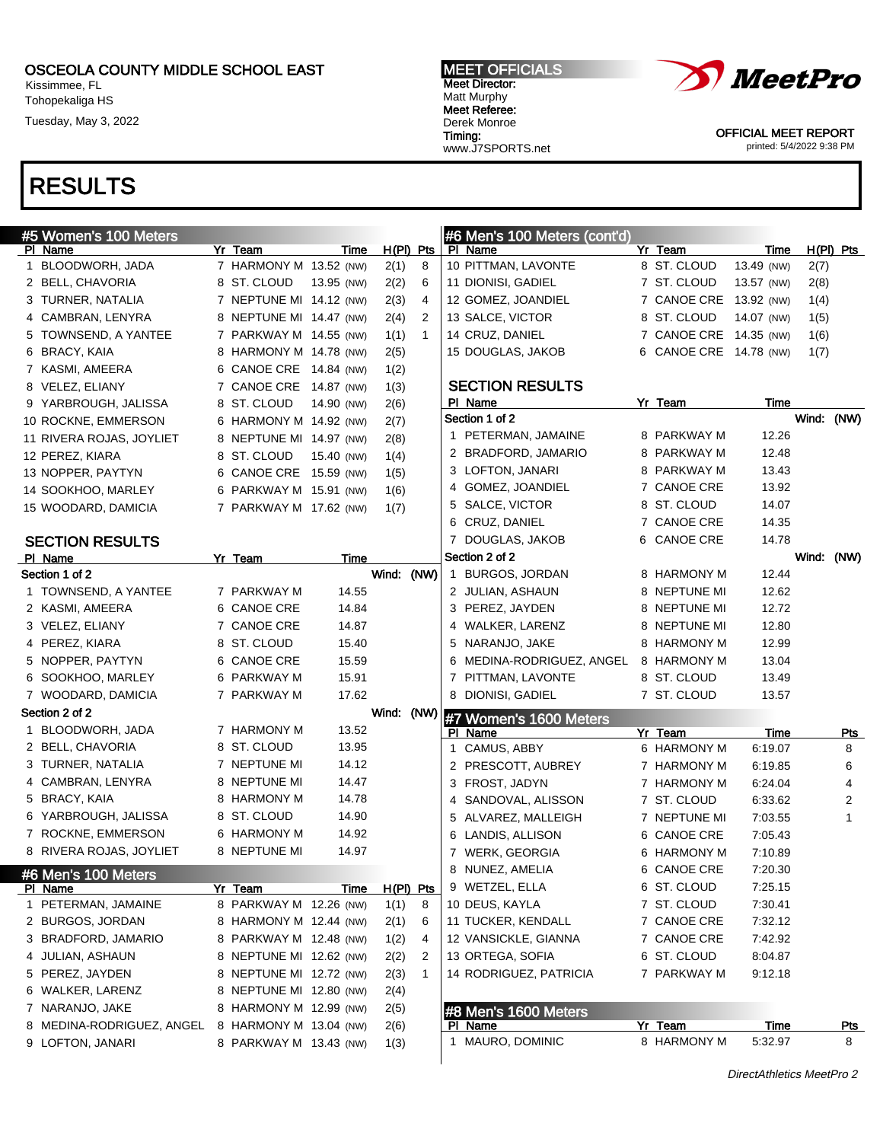Kissimmee, FL Tohopekaliga HS

Tuesday, May 3, 2022

#### MEET OFFICIALS Meet Director: Matt Murphy Meet Referee: Derek Monroe Timing: www.J7SPORTS.net



OFFICIAL MEET REPORT printed: 5/4/2022 9:38 PM

| #5 Women's 100 Meters                 |                                        |            |             |              | #6 Men's 100 Meters (cont'd)             |   |                                       |                          |            |                 |
|---------------------------------------|----------------------------------------|------------|-------------|--------------|------------------------------------------|---|---------------------------------------|--------------------------|------------|-----------------|
| PI Name                               | Yr Team                                | Time       | $H(PI)$ Pts |              | PI Name                                  |   | Yr Team                               | Time                     |            | $H(PI)$ Pts     |
| 1 BLOODWORH, JADA                     | 7 HARMONY M 13.52 (NW)                 |            | 2(1)        | 8<br>6       | 10 PITTMAN, LAVONTE                      |   | 8 ST. CLOUD                           | 13.49 (NW)<br>13.57 (NW) | 2(7)       |                 |
| 2 BELL, CHAVORIA<br>3 TURNER, NATALIA | 8 ST. CLOUD<br>7 NEPTUNE MI 14.12 (NW) | 13.95 (NW) | 2(2)        | 4            | 11 DIONISI, GADIEL<br>12 GOMEZ, JOANDIEL |   | 7 ST. CLOUD<br>7 CANOE CRE 13.92 (NW) |                          | 2(8)       |                 |
|                                       |                                        |            | 2(3)        |              | 13 SALCE, VICTOR                         |   |                                       |                          | 1(4)       |                 |
| 4 CAMBRAN, LENYRA                     | 8 NEPTUNE MI 14.47 (NW)                |            | 2(4)        | 2            |                                          |   | 8 ST. CLOUD                           | 14.07 (NW)               | 1(5)       |                 |
| 5 TOWNSEND, A YANTEE                  | 7 PARKWAY M 14.55 (NW)                 |            | 1(1)        | $\mathbf 1$  | 14 CRUZ, DANIEL                          |   | 7 CANOE CRE 14.35 (NW)                |                          | 1(6)       |                 |
| 6 BRACY, KAIA                         | 8 HARMONY M 14.78 (NW)                 |            | 2(5)        |              | 15 DOUGLAS, JAKOB                        |   | 6 CANOE CRE 14.78 (NW)                |                          | 1(7)       |                 |
| 7 KASMI, AMEERA                       | 6 CANOE CRE 14.84 (NW)                 |            | 1(2)        |              | <b>SECTION RESULTS</b>                   |   |                                       |                          |            |                 |
| 8 VELEZ, ELIANY                       | 7 CANOE CRE 14.87 (NW)                 |            | 1(3)        |              | PI Name                                  |   | Yr Team                               | Time                     |            |                 |
| 9 YARBROUGH, JALISSA                  | 8 ST. CLOUD                            | 14.90 (NW) | 2(6)        |              | Section 1 of 2                           |   |                                       |                          | Wind: (NW) |                 |
| 10 ROCKNE, EMMERSON                   | 6 HARMONY M 14.92 (NW)                 |            | 2(7)        |              | 1 PETERMAN, JAMAINE                      |   | 8 PARKWAY M                           | 12.26                    |            |                 |
| 11 RIVERA ROJAS, JOYLIET              | 8 NEPTUNE MI 14.97 (NW)                |            | 2(8)        |              | 2 BRADFORD, JAMARIO                      |   | 8 PARKWAY M                           | 12.48                    |            |                 |
| 12 PEREZ, KIARA                       | 8 ST. CLOUD                            | 15.40 (NW) | 1(4)        |              | 3 LOFTON, JANARI                         |   | 8 PARKWAY M                           | 13.43                    |            |                 |
| 13 NOPPER, PAYTYN                     | 6 CANOE CRE 15.59 (NW)                 |            | 1(5)        |              | 4 GOMEZ, JOANDIEL                        |   | 7 CANOE CRE                           | 13.92                    |            |                 |
| 14 SOOKHOO, MARLEY                    | 6 PARKWAY M 15.91 (NW)                 |            | 1(6)        |              | 5 SALCE, VICTOR                          |   | 8 ST. CLOUD                           | 14.07                    |            |                 |
| 15 WOODARD, DAMICIA                   | 7 PARKWAY M 17.62 (NW)                 |            | 1(7)        |              | 6 CRUZ, DANIEL                           |   | 7 CANOE CRE                           | 14.35                    |            |                 |
|                                       |                                        |            |             |              | 7 DOUGLAS, JAKOB                         | 6 | <b>CANOE CRE</b>                      | 14.78                    |            |                 |
| <b>SECTION RESULTS</b><br>PI Name     | Yr Team                                | Time       |             |              | Section 2 of 2                           |   |                                       |                          | Wind:      | (NW)            |
| Section 1 of 2                        |                                        |            | Wind: (NW)  |              | 1 BURGOS, JORDAN                         |   | 8 HARMONY M                           | 12.44                    |            |                 |
| 1 TOWNSEND, A YANTEE                  | 7 PARKWAY M                            | 14.55      |             |              | 2 JULIAN, ASHAUN                         |   | 8 NEPTUNE MI                          | 12.62                    |            |                 |
| 2 KASMI, AMEERA                       | 6 CANOE CRE                            | 14.84      |             |              | 3 PEREZ, JAYDEN                          | 8 | NEPTUNE MI                            | 12.72                    |            |                 |
| 3 VELEZ, ELIANY                       | 7 CANOE CRE                            | 14.87      |             |              | 4 WALKER, LARENZ                         | 8 | NEPTUNE MI                            | 12.80                    |            |                 |
| 4 PEREZ, KIARA                        | 8 ST. CLOUD                            | 15.40      |             |              | 5 NARANJO, JAKE                          | 8 | HARMONY M                             | 12.99                    |            |                 |
| 5 NOPPER, PAYTYN                      | 6 CANOE CRE                            | 15.59      |             |              | 6 MEDINA-RODRIGUEZ, ANGEL                | 8 | HARMONY M                             | 13.04                    |            |                 |
| 6 SOOKHOO, MARLEY                     | 6 PARKWAY M                            | 15.91      |             |              | 7 PITTMAN, LAVONTE                       |   | 8 ST. CLOUD                           | 13.49                    |            |                 |
| 7 WOODARD, DAMICIA                    | 7 PARKWAY M                            | 17.62      |             |              | 8 DIONISI, GADIEL                        |   | 7 ST. CLOUD                           | 13.57                    |            |                 |
| Section 2 of 2                        |                                        |            | Wind:       | (NW)         |                                          |   |                                       |                          |            |                 |
| 1 BLOODWORH, JADA                     | 7 HARMONY M                            | 13.52      |             |              | #7 Women's 1600 Meters                   |   |                                       |                          |            |                 |
| 2 BELL, CHAVORIA                      | 8 ST. CLOUD                            | 13.95      |             |              | PI Name                                  |   | Yr Team                               | Time                     |            | <u>Pts</u><br>8 |
| 3 TURNER, NATALIA                     | 7 NEPTUNE MI                           | 14.12      |             |              | 1 CAMUS, ABBY                            |   | 6 HARMONY M                           | 6:19.07                  |            |                 |
| 4 CAMBRAN, LENYRA                     | 8 NEPTUNE MI                           | 14.47      |             |              | 2 PRESCOTT, AUBREY                       |   | 7 HARMONY M                           | 6:19.85                  |            | 6               |
| 5 BRACY, KAIA                         | 8 HARMONY M                            | 14.78      |             |              | 3 FROST, JADYN                           |   | 7 HARMONY M                           | 6:24.04                  |            | 4               |
| 6 YARBROUGH, JALISSA                  | 8 ST. CLOUD                            | 14.90      |             |              | 4 SANDOVAL, ALISSON                      |   | 7 ST. CLOUD                           | 6:33.62                  |            | $\overline{c}$  |
| 7 ROCKNE, EMMERSON                    | 6 HARMONY M                            | 14.92      |             |              | 5 ALVAREZ, MALLEIGH                      |   | 7 NEPTUNE MI                          | 7:03.55                  |            | $\mathbf{1}$    |
| 8 RIVERA ROJAS, JOYLIET               | 8 NEPTUNE MI                           | 14.97      |             |              | 6 LANDIS, ALLISON                        |   | 6 CANOE CRE<br>6 HARMONY M            | 7:05.43                  |            |                 |
|                                       |                                        |            |             |              | 7 WERK, GEORGIA                          |   |                                       | 7:10.89                  |            |                 |
| #6 Men's 100 Meters                   |                                        |            |             |              | 8 NUNEZ, AMELIA                          |   | 6 CANOE CRE                           | 7:20.30                  |            |                 |
| PI Name                               | Yr Team                                | Time       | H(PI) Pts   |              | 9 WETZEL, ELLA                           |   | 6 ST. CLOUD                           | 7:25.15                  |            |                 |
| 1 PETERMAN, JAMAINE                   | 8 PARKWAY M 12.26 (NW)                 |            | 1(1)        | 8            | 10 DEUS, KAYLA                           |   | 7 ST. CLOUD                           | 7:30.41                  |            |                 |
| 2 BURGOS, JORDAN                      | 8 HARMONY M 12.44 (NW)                 |            | 2(1)        | 6            | 11 TUCKER, KENDALL                       |   | 7 CANOE CRE                           | 7:32.12                  |            |                 |
| 3 BRADFORD, JAMARIO                   | 8 PARKWAY M 12.48 (NW)                 |            | 1(2)        | 4            | 12 VANSICKLE, GIANNA                     |   | 7 CANOE CRE                           | 7:42.92                  |            |                 |
| 4 JULIAN, ASHAUN                      | 8 NEPTUNE MI 12.62 (NW)                |            | 2(2)        | 2            | 13 ORTEGA, SOFIA                         |   | 6 ST. CLOUD                           | 8:04.87                  |            |                 |
| 5 PEREZ, JAYDEN                       | 8 NEPTUNE MI 12.72 (NW)                |            | 2(3)        | $\mathbf{1}$ | 14 RODRIGUEZ, PATRICIA                   |   | 7 PARKWAY M                           | 9:12.18                  |            |                 |
| 6 WALKER, LARENZ                      | 8 NEPTUNE MI 12.80 (NW)                |            | 2(4)        |              |                                          |   |                                       |                          |            |                 |
| 7 NARANJO, JAKE                       | 8 HARMONY M 12.99 (NW)                 |            | 2(5)        |              | #8 Men's 1600 Meters                     |   |                                       |                          |            |                 |
| 8 MEDINA-RODRIGUEZ, ANGEL             | 8 HARMONY M 13.04 (NW)                 |            | 2(6)        |              | PI Name                                  |   | Yr Team                               | Time                     |            | <u>Pts</u>      |
| 9 LOFTON, JANARI                      | 8 PARKWAY M 13.43 (NW)                 |            | 1(3)        |              | 1 MAURO, DOMINIC                         |   | 8 HARMONY M                           | 5:32.97                  |            | 8               |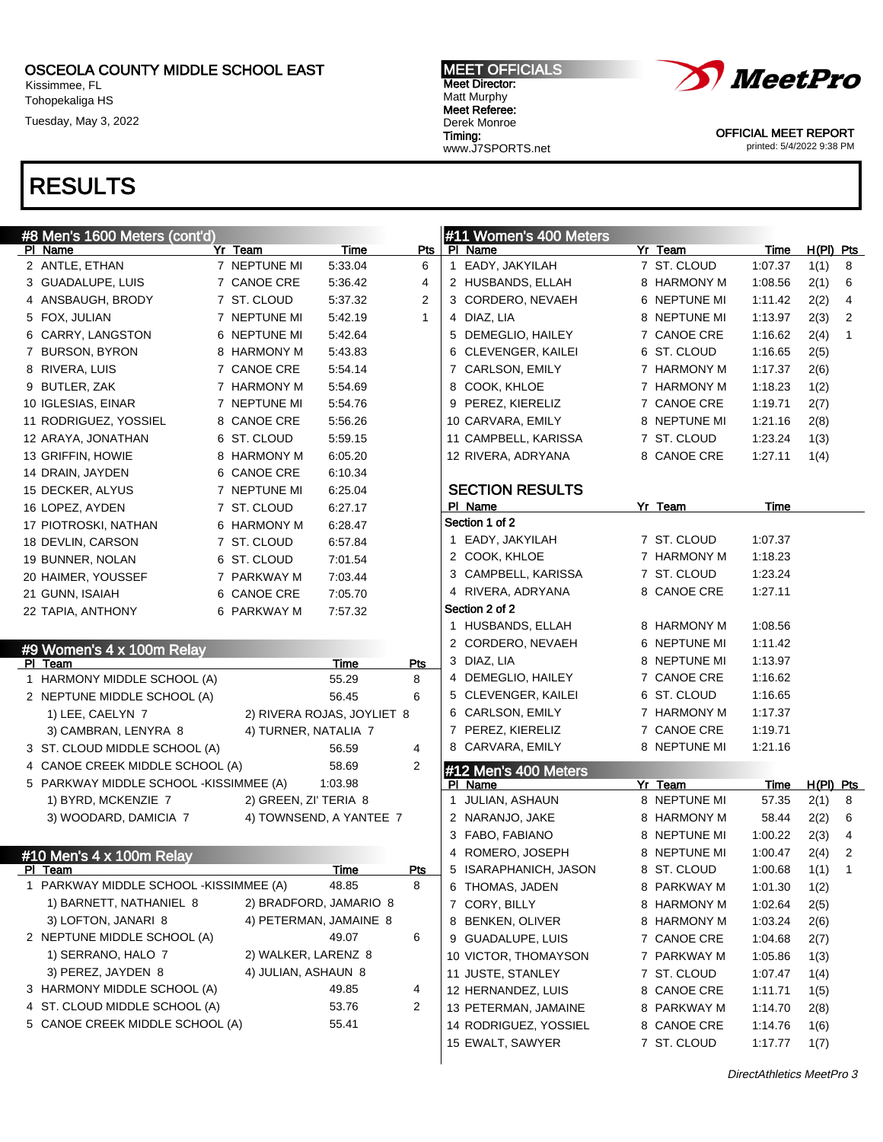Kissimmee, FL Tohopekaliga HS

Tuesday, May 3, 2022

# RESULTS

#### #8 Men's 1600 Meters (cont'd) PI Name **Products Products Products Products Products Products Products Products Products Products** 2 ANTLE, ETHAN 7 NEPTUNE MI 5:33.04 6 3 GUADALUPE, LUIS 7 CANOE CRE 5:36.42 4 4 ANSBAUGH, BRODY 7 ST. CLOUD 5:37.32 2 5 FOX, JULIAN 7 NEPTUNE MI 5:42.19 1 6 CARRY, LANGSTON 6 NEPTUNE MI 5:42.64 7 BURSON, BYRON 8 HARMONY M 5:43.83 8 RIVERA, LUIS 7 CANOE CRE 5:54.14 9 BUTLER, ZAK 7 HARMONY M 5:54.69 10 IGLESIAS, EINAR 7 NEPTUNE MI 5:54.76 11 RODRIGUEZ, YOSSIEL 8 CANOE CRE 5:56.26 12 ARAYA, JONATHAN 6 ST. CLOUD 5:59.15 13 GRIFFIN, HOWIE 8 HARMONY M 6:05.20 14 DRAIN, JAYDEN 6 CANOE CRE 6:10.34 15 DECKER, ALYUS 7 NEPTUNE MI 6:25.04 16 LOPEZ, AYDEN 7 ST. CLOUD 6:27.17 17 PIOTROSKI, NATHAN 6 HARMONY M 6:28.47 18 DEVLIN, CARSON 7 ST. CLOUD 6:57.84 19 BUNNER, NOLAN 6 ST. CLOUD 7:01.54 20 HAIMER, YOUSSEF 7 PARKWAY M 7:03.44 21 GUNN, ISAIAH 6 CANOE CRE 7:05.70 22 TAPIA, ANTHONY 6 PARKWAY M 7:57.32 #9 Women's 4 x 100m Relay PI Team Pts 1 HARMONY MIDDLE SCHOOL (A) 55.29 8 2 NEPTUNE MIDDLE SCHOOL (A) 56.45 6 1) LEE, CAELYN 7 2) RIVERA ROJAS, JOYLIET 8 3) CAMBRAN, LENYRA 8 4) TURNER, NATALIA 7 3 ST. CLOUD MIDDLE SCHOOL (A) 56.59 4 4 CANOE CREEK MIDDLE SCHOOL (A) 58.69 2 5 PARKWAY MIDDLE SCHOOL -KISSIMMEE (A) 1:03.98 1) BYRD, MCKENZIE 7 2) GREEN, ZI' TERIA 8 3) WOODARD, DAMICIA 7 4) TOWNSEND, A YANTEE 7 #10 Men's 4 x 100m Relay PI Team Pts 1 PARKWAY MIDDLE SCHOOL -KISSIMMEE (A) 48.85 8 1) BARNETT, NATHANIEL 8 2) BRADFORD, JAMARIO 8 3) LOFTON, JANARI 8 4) PETERMAN, JAMAINE 8 2 NEPTUNE MIDDLE SCHOOL (A) 49.07 6 1) SERRANO, HALO 7 2) WALKER, LARENZ 8 3) PEREZ, JAYDEN 8 4) JULIAN, ASHAUN 8 3 HARMONY MIDDLE SCHOOL (A) 49.85 4 4 ST. CLOUD MIDDLE SCHOOL (A) 53.76 2 5 CANOE CREEK MIDDLE SCHOOL (A) 55.41 #11 Women's 400 Meters PI Name Yr Team Time H(PI) Pts 1 EADY, JAKYILAH 7 ST. CLOUD 1:07.37 1(1) 8 2 HUSBANDS, ELLAH 8 HARMONY M 1:08.56 2(1) 6 3 CORDERO, NEVAEH 6 NEPTUNE MI 1:11.42 2(2) 4 4 DIAZ, LIA 8 NEPTUNE MI 1:13.97 2(3) 2 5 DEMEGLIO, HAILEY 7 CANOE CRE 1:16.62 2(4) 1 6 CLEVENGER, KAILEI 6 ST. CLOUD 1:16.65 2(5) 7 CARLSON, EMILY 7 HARMONY M 1:17.37 2(6) 8 COOK, KHLOE 7 HARMONY M 1:18.23 1(2) 9 PEREZ, KIERELIZ 7 CANOE CRE 1:19.71 2(7) 10 CARVARA, EMILY 8 NEPTUNE MI 1:21.16 2(8) 11 CAMPBELL, KARISSA 7 ST. CLOUD 1:23.24 1(3) 12 RIVERA, ADRYANA 8 CANOE CRE 1:27.11 1(4) SECTION RESULTS PI Name **Yr Team** Time Section 1 of 2 1 EADY, JAKYILAH 7 ST. CLOUD 1:07.37 2 COOK, KHLOE 7 HARMONY M 1:18.23 3 CAMPBELL, KARISSA 7 ST. CLOUD 1:23.24 4 RIVERA, ADRYANA 8 CANOE CRE 1:27.11 Section 2 of 2 1 HUSBANDS, ELLAH 8 HARMONY M 1:08.56 2 CORDERO, NEVAEH 6 NEPTUNE MI 1:11.42 3 DIAZ, LIA 8 NEPTUNE MI 1:13.97 4 DEMEGLIO, HAILEY 7 CANOE CRE 1:16.62 5 CLEVENGER, KAILEI 6 ST. CLOUD 1:16.65 6 CARLSON, EMILY 7 HARMONY M 1:17.37 7 PEREZ, KIERELIZ 7 CANOE CRE 1:19.71 8 CARVARA, EMILY 8 NEPTUNE MI 1:21.16 #12 Men's 400 Meters PI Name **Yr Team** Time H(PI) Pts 1 JULIAN, ASHAUN 8 NEPTUNE MI 57.35 2(1) 8 2 NARANJO, JAKE 8 HARMONY M 58.44 2(2) 6 3 FABO, FABIANO 8 NEPTUNE MI 1:00.22 2(3) 4 4 ROMERO, JOSEPH 8 NEPTUNE MI 1:00.47 2(4) 2 5 ISARAPHANICH, JASON 8 ST. CLOUD 1:00.68 1(1) 1 6 THOMAS, JADEN 8 PARKWAY M 1:01.30 1(2) 7 CORY, BILLY 8 HARMONY M 1:02.64 2(5) 8 BENKEN, OLIVER 8 HARMONY M 1:03.24 2(6) 9 GUADALUPE, LUIS 7 CANOE CRE 1:04.68 2(7) 10 VICTOR, THOMAYSON 7 PARKWAY M 1:05.86 1(3) 11 JUSTE, STANLEY 7 ST. CLOUD 1:07.47 1(4) 12 HERNANDEZ, LUIS 8 CANOE CRE 1:11.71 1(5) 13 PETERMAN, JAMAINE 8 PARKWAY M 1:14.70 2(8) 14 RODRIGUEZ, YOSSIEL 8 CANOE CRE 1:14.76 1(6) 15 EWALT, SAWYER 7 ST. CLOUD 1:17.77 1(7)



OFFICIAL MEET REPORT printed: 5/4/2022 9:38 PM

DirectAthletics MeetPro 3

MEET OFFICIALS Meet Director: Matt Murphy Meet Referee: Derek Monroe Timing: www.J7SPORTS.net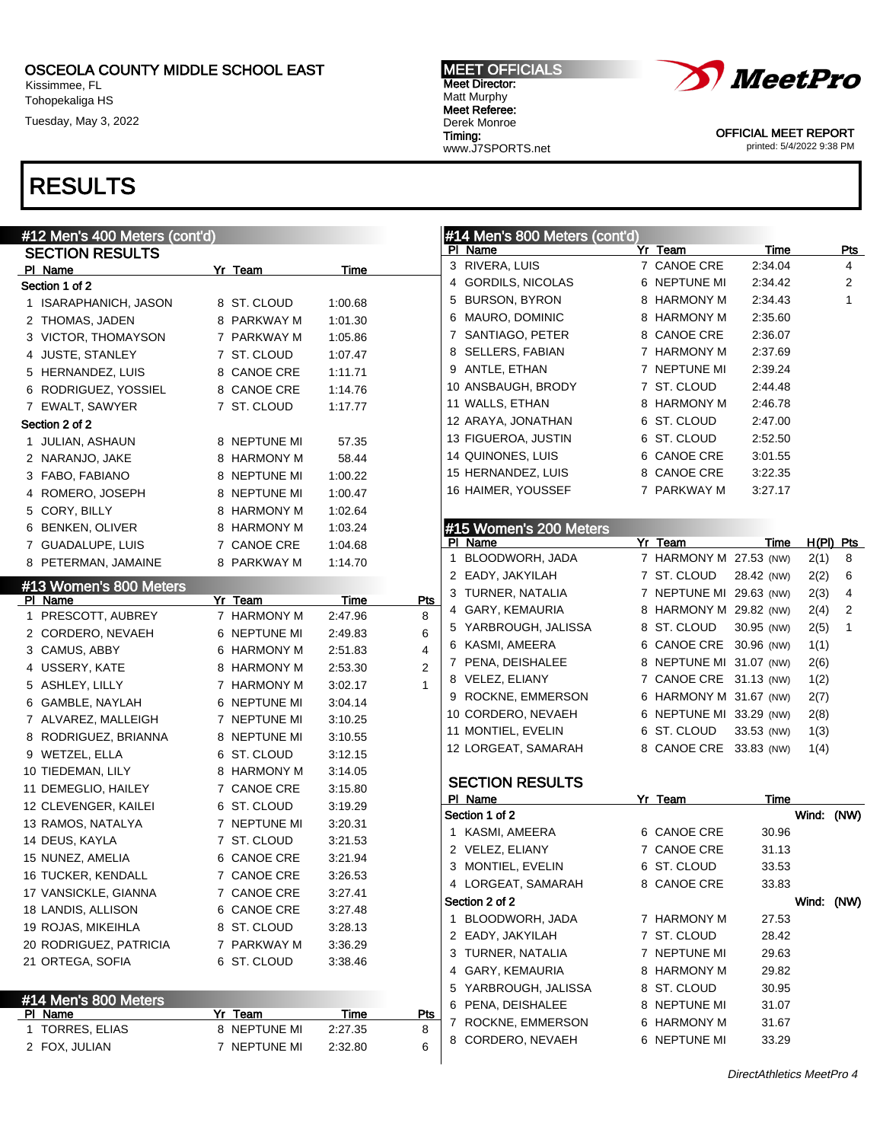Kissimmee, FL Tohopekaliga HS

Tuesday, May 3, 2022

## RESULTS

| #12 Men's 400 Meters (cont'd) |                        |             |                 | #14 Men's 800 Meters (cont'd) |                         |             |            |                |
|-------------------------------|------------------------|-------------|-----------------|-------------------------------|-------------------------|-------------|------------|----------------|
| <b>SECTION RESULTS</b>        |                        |             |                 | PI Name                       | Yr Team                 | <u>Time</u> |            | <b>Pts</b>     |
| PI Name                       | Yr Team                | Time        |                 | 3 RIVERA, LUIS                | 7 CANOE CRE             | 2:34.04     |            | 4              |
| Section 1 of 2                |                        |             |                 | 4 GORDILS, NICOLAS            | 6 NEPTUNE MI            | 2:34.42     |            | $\overline{2}$ |
| 1 ISARAPHANICH, JASON         | 8 ST. CLOUD            | 1:00.68     |                 | 5 BURSON, BYRON               | 8 HARMONY M             | 2:34.43     |            | $\mathbf{1}$   |
| 2 THOMAS, JADEN               | 8 PARKWAY M            | 1:01.30     |                 | 6 MAURO, DOMINIC              | 8 HARMONY M             | 2:35.60     |            |                |
| 3 VICTOR, THOMAYSON           | 7 PARKWAY M            | 1:05.86     |                 | 7 SANTIAGO, PETER             | 8 CANOE CRE             | 2:36.07     |            |                |
| 4 JUSTE, STANLEY              | 7 ST. CLOUD            | 1:07.47     |                 | 8 SELLERS, FABIAN             | 7 HARMONY M             | 2:37.69     |            |                |
| 5 HERNANDEZ, LUIS             | 8 CANOE CRE            | 1:11.71     |                 | 9 ANTLE, ETHAN                | 7 NEPTUNE MI            | 2:39.24     |            |                |
| 6 RODRIGUEZ, YOSSIEL          | 8 CANOE CRE            | 1:14.76     |                 | 10 ANSBAUGH, BRODY            | 7 ST. CLOUD             | 2:44.48     |            |                |
| 7 EWALT, SAWYER               | 7 ST. CLOUD            | 1:17.77     |                 | 11 WALLS, ETHAN               | 8 HARMONY M             | 2:46.78     |            |                |
| Section 2 of 2                |                        |             |                 | 12 ARAYA, JONATHAN            | 6 ST. CLOUD             | 2:47.00     |            |                |
| 1 JULIAN, ASHAUN              | 8 NEPTUNE MI           | 57.35       |                 | 13 FIGUEROA, JUSTIN           | 6 ST. CLOUD             | 2:52.50     |            |                |
| 2 NARANJO, JAKE               | 8 HARMONY M            | 58.44       |                 | 14 QUINONES, LUIS             | 6 CANOE CRE             | 3:01.55     |            |                |
| 3 FABO, FABIANO               | 8 NEPTUNE MI           | 1:00.22     |                 | 15 HERNANDEZ, LUIS            | 8 CANOE CRE             | 3:22.35     |            |                |
| 4 ROMERO, JOSEPH              | 8 NEPTUNE MI           | 1:00.47     |                 | 16 HAIMER, YOUSSEF            | 7 PARKWAY M             | 3:27.17     |            |                |
| 5 CORY, BILLY                 | 8 HARMONY M            | 1:02.64     |                 |                               |                         |             |            |                |
| 6 BENKEN, OLIVER              | 8 HARMONY M            | 1:03.24     |                 | #15 Women's 200 Meters        |                         |             |            |                |
| 7 GUADALUPE, LUIS             | 7 CANOE CRE            | 1:04.68     |                 | PI Name                       | Yr Team                 | Time        |            | $H(PI)$ Pts    |
| 8 PETERMAN, JAMAINE           | 8 PARKWAY M            | 1:14.70     |                 | 1 BLOODWORH, JADA             | 7 HARMONY M 27.53 (NW)  |             | 2(1)       | 8              |
|                               |                        |             |                 | 2 EADY, JAKYILAH              | 7 ST. CLOUD             | 28.42 (NW)  | 2(2)       | 6              |
| #13 Women's 800 Meters        |                        |             |                 | 3 TURNER, NATALIA             | 7 NEPTUNE MI 29.63 (NW) |             | 2(3)       | 4              |
| <b>PI</b> Name                | Yr Team<br>7 HARMONY M | <b>Time</b> | <u>Pts</u><br>8 | 4 GARY, KEMAURIA              | 8 HARMONY M 29.82 (NW)  |             | 2(4)       | 2              |
| 1 PRESCOTT, AUBREY            |                        | 2:47.96     | 6               | 5 YARBROUGH, JALISSA          | 8 ST. CLOUD             | 30.95 (NW)  | 2(5)       | $\mathbf{1}$   |
| 2 CORDERO, NEVAEH             | 6 NEPTUNE MI           | 2:49.83     | $\overline{4}$  | 6 KASMI, AMEERA               | 6 CANOE CRE 30.96 (NW)  |             | 1(1)       |                |
| 3 CAMUS, ABBY                 | 6 HARMONY M            | 2:51.83     | $\overline{2}$  | 7 PENA, DEISHALEE             | 8 NEPTUNE MI 31.07 (NW) |             | 2(6)       |                |
| 4 USSERY, KATE                | 8 HARMONY M            | 2:53.30     | $\mathbf{1}$    | 8 VELEZ, ELIANY               | 7 CANOE CRE 31.13 (NW)  |             | 1(2)       |                |
| 5 ASHLEY, LILLY               | 7 HARMONY M            | 3:02.17     |                 | 9 ROCKNE, EMMERSON            | 6 HARMONY M 31.67 (NW)  |             | 2(7)       |                |
| 6 GAMBLE, NAYLAH              | 6 NEPTUNE MI           | 3:04.14     |                 | 10 CORDERO, NEVAEH            | 6 NEPTUNE MI 33.29 (NW) |             | 2(8)       |                |
| 7 ALVAREZ, MALLEIGH           | 7 NEPTUNE MI           | 3:10.25     |                 | 11 MONTIEL, EVELIN            | 6 ST. CLOUD             | 33.53 (NW)  | 1(3)       |                |
| 8 RODRIGUEZ, BRIANNA          | 8 NEPTUNE MI           | 3:10.55     |                 | 12 LORGEAT, SAMARAH           | 8 CANOE CRE 33.83 (NW)  |             | 1(4)       |                |
| 9 WETZEL, ELLA                | 6 ST. CLOUD            | 3:12.15     |                 |                               |                         |             |            |                |
| 10 TIEDEMAN, LILY             | 8 HARMONY M            | 3:14.05     |                 | <b>SECTION RESULTS</b>        |                         |             |            |                |
| 11 DEMEGLIO, HAILEY           | 7 CANOE CRE            | 3:15.80     |                 | PI Name                       | Yr Team                 | Time        |            |                |
| 12 CLEVENGER, KAILEI          | 6 ST. CLOUD            | 3:19.29     |                 | Section 1 of 2                |                         |             | Wind: (NW) |                |
| 13 RAMOS, NATALYA             | 7 NEPTUNE MI           | 3:20.31     |                 | 1 KASMI, AMEERA               | 6 CANOE CRE             | 30.96       |            |                |
| 14 DEUS, KAYLA                | 7 ST. CLOUD            | 3:21.53     |                 | 2 VELEZ, ELIANY               | 7 CANOE CRE             | 31.13       |            |                |
| 15 NUNEZ, AMELIA              | 6 CANOE CRE            | 3:21.94     |                 | 3 MONTIEL, EVELIN             | 6 ST. CLOUD             | 33.53       |            |                |
| 16 TUCKER, KENDALL            | 7 CANOE CRE            | 3:26.53     |                 | 4 LORGEAT, SAMARAH            | 8 CANOE CRE             | 33.83       |            |                |
| 17 VANSICKLE, GIANNA          | 7 CANOE CRE            | 3:27.41     |                 | Section 2 of 2                |                         |             | Wind: (NW) |                |
| 18 LANDIS, ALLISON            | 6 CANOE CRE            | 3:27.48     |                 | 1 BLOODWORH, JADA             | 7 HARMONY M             | 27.53       |            |                |
| 19 ROJAS, MIKEIHLA            | 8 ST. CLOUD            | 3:28.13     |                 | 2 EADY, JAKYILAH              | 7 ST. CLOUD             | 28.42       |            |                |
| 20 RODRIGUEZ, PATRICIA        | 7 PARKWAY M            | 3:36.29     |                 | 3 TURNER, NATALIA             | 7 NEPTUNE MI            | 29.63       |            |                |
| 21 ORTEGA, SOFIA              | 6 ST. CLOUD            | 3:38.46     |                 | 4 GARY, KEMAURIA              | 8 HARMONY M             | 29.82       |            |                |
|                               |                        |             |                 | 5 YARBROUGH, JALISSA          | 8 ST. CLOUD             | 30.95       |            |                |
| #14 Men's 800 Meters          |                        |             |                 | 6 PENA, DEISHALEE             | 8 NEPTUNE MI            | 31.07       |            |                |
| PI Name                       | Yr Team                | Time        | <b>Pts</b>      | 7 ROCKNE, EMMERSON            | 6 HARMONY M             | 31.67       |            |                |
| 1 TORRES, ELIAS               | 8 NEPTUNE MI           | 2:27.35     | 8               | 8 CORDERO, NEVAEH             | 6 NEPTUNE MI            | 33.29       |            |                |
| 2 FOX, JULIAN                 | 7 NEPTUNE MI           | 2:32.80     | 6               |                               |                         |             |            |                |



MEET OFFICIALS Meet Director: Matt Murphy Meet Referee: Derek Monroe Timing: www.J7SPORTS.net

OFFICIAL MEET REPORT printed: 5/4/2022 9:38 PM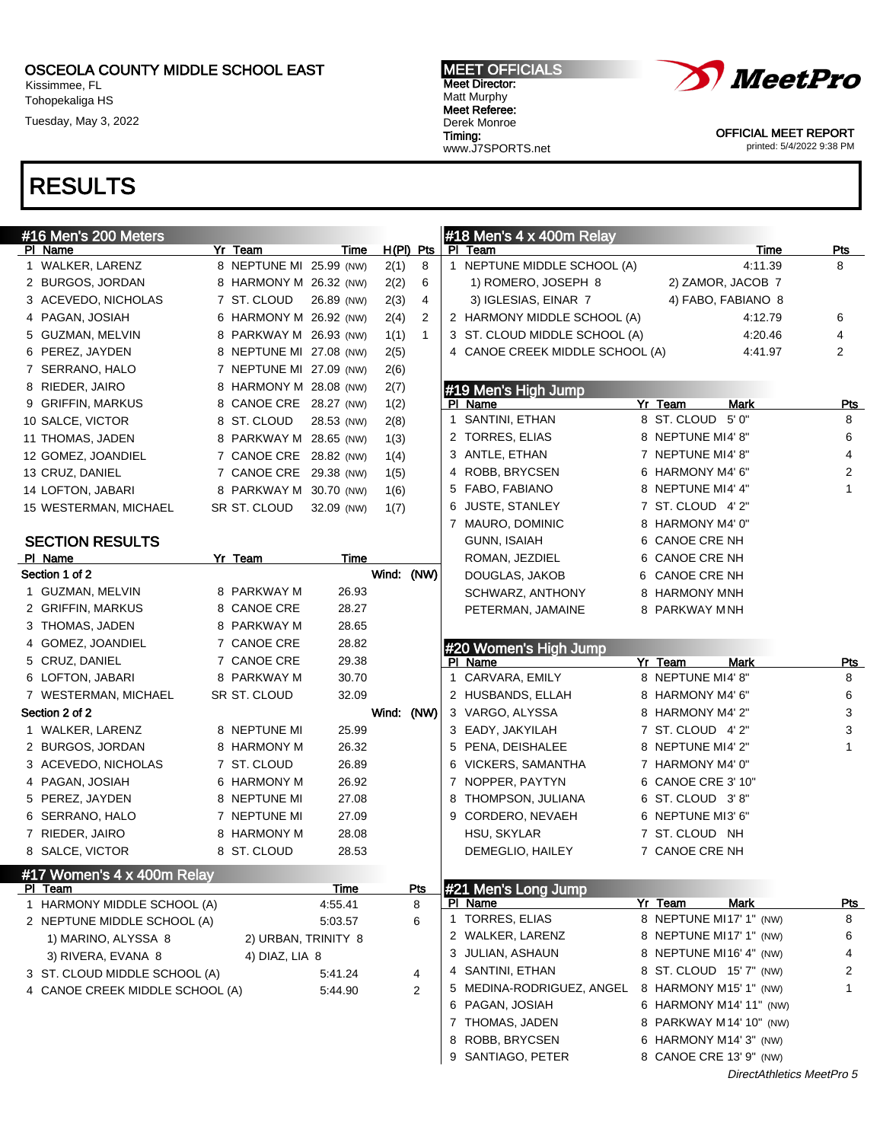Kissimmee, FL Tohopekaliga HS

Tuesday, May 3, 2022

#### MEET OFFICIALS Meet Director: Matt Murphy Meet Referee: Derek Monroe Timing: www.J7SPORTS.net



OFFICIAL MEET REPORT printed: 5/4/2022 9:38 PM

| #16 Men's 200 Meters            |                         |             |                |              | $#18$ Men's 4 x 400m Relay                 |                           |                |
|---------------------------------|-------------------------|-------------|----------------|--------------|--------------------------------------------|---------------------------|----------------|
| PI Name                         | Yr Team                 | Time        | $H(PI)$ Pts    |              | PI Team                                    | Time                      | <b>Pts</b>     |
| 1 WALKER, LARENZ                | 8 NEPTUNE MI 25.99 (NW) |             | 2(1)           | 8            | 1 NEPTUNE MIDDLE SCHOOL (A)                | 4:11.39                   | 8              |
| 2 BURGOS, JORDAN                | 8 HARMONY M 26.32 (NW)  |             | 2(2)           | 6            | 2) ZAMOR, JACOB 7<br>1) ROMERO, JOSEPH 8   |                           |                |
| 3 ACEVEDO, NICHOLAS             | 7 ST. CLOUD             | 26.89 (NW)  | 2(3)           | 4            | 4) FABO, FABIANO 8<br>3) IGLESIAS, EINAR 7 |                           |                |
| 4 PAGAN, JOSIAH                 | 6 HARMONY M 26.92 (NW)  |             | 2(4)           | 2            | 2 HARMONY MIDDLE SCHOOL (A)                | 4:12.79                   | 6              |
| 5 GUZMAN, MELVIN                | 8 PARKWAY M 26.93 (NW)  |             | 1(1)           | $\mathbf{1}$ | 3 ST. CLOUD MIDDLE SCHOOL (A)              | 4:20.46                   | 4              |
| 6 PEREZ, JAYDEN                 | 8 NEPTUNE MI 27.08 (NW) |             | 2(5)           |              | 4 CANOE CREEK MIDDLE SCHOOL (A)            | 4:41.97                   | 2              |
| 7 SERRANO, HALO                 | 7 NEPTUNE MI 27.09 (NW) |             | 2(6)           |              |                                            |                           |                |
| 8 RIEDER, JAIRO                 | 8 HARMONY M 28.08 (NW)  |             | 2(7)           |              | #19 Men's High Jump                        |                           |                |
| 9 GRIFFIN, MARKUS               | 8 CANOE CRE 28.27 (NW)  |             | 1(2)           |              | PI Name                                    | Yr Team<br>Mark           | <b>Pts</b>     |
| 10 SALCE, VICTOR                | 8 ST. CLOUD             | 28.53 (NW)  | 2(8)           |              | 1 SANTINI, ETHAN                           | 8 ST. CLOUD 5' 0"         | 8              |
| 11 THOMAS, JADEN                | 8 PARKWAY M 28.65 (NW)  |             | 1(3)           |              | 2 TORRES, ELIAS                            | 8 NEPTUNE MI4'8"          | 6              |
| 12 GOMEZ, JOANDIEL              | 7 CANOE CRE 28.82 (NW)  |             | 1(4)           |              | 3 ANTLE, ETHAN                             | 7 NEPTUNE MI4'8"          | 4              |
| 13 CRUZ, DANIEL                 | 7 CANOE CRE 29.38 (NW)  |             | 1(5)           |              | 4 ROBB, BRYCSEN                            | 6 HARMONY M4' 6"          | $\overline{c}$ |
| 14 LOFTON, JABARI               | 8 PARKWAY M 30.70 (NW)  |             | 1(6)           |              | 5 FABO, FABIANO                            | 8 NEPTUNE MI4' 4"         | $\mathbf{1}$   |
| 15 WESTERMAN, MICHAEL           | SR ST. CLOUD            | 32.09 (NW)  | 1(7)           |              | 6 JUSTE, STANLEY                           | 7 ST. CLOUD 4' 2"         |                |
|                                 |                         |             |                |              | 7 MAURO, DOMINIC                           | 8 HARMONY M4' 0"          |                |
| <b>SECTION RESULTS</b>          |                         |             |                |              | GUNN, ISAIAH                               | 6 CANOE CRE NH            |                |
| PI Name                         | Yr Team                 | Time        |                |              | ROMAN, JEZDIEL                             | 6 CANOE CRE NH            |                |
| Section 1 of 2                  |                         |             | Wind: (NW)     |              | DOUGLAS, JAKOB                             | 6 CANOE CRE NH            |                |
| 1 GUZMAN, MELVIN                | 8 PARKWAY M             | 26.93       |                |              | SCHWARZ, ANTHONY                           | 8 HARMONY MNH             |                |
| 2 GRIFFIN, MARKUS               | 8 CANOE CRE             | 28.27       |                |              | PETERMAN, JAMAINE                          | 8 PARKWAY MNH             |                |
| 3 THOMAS, JADEN                 | 8 PARKWAY M             | 28.65       |                |              |                                            |                           |                |
| 4 GOMEZ, JOANDIEL               | 7 CANOE CRE             | 28.82       |                |              | #20 Women's High Jump                      |                           |                |
| 5 CRUZ, DANIEL                  | 7 CANOE CRE             | 29.38       |                |              | PI Name                                    | Yr Team<br>Mark           | <u>Pts</u>     |
| 6 LOFTON, JABARI                | 8 PARKWAY M             | 30.70       |                |              | 1 CARVARA, EMILY                           | 8 NEPTUNE MI4' 8"         | 8              |
| 7 WESTERMAN, MICHAEL            | SR ST. CLOUD            | 32.09       |                |              | 2 HUSBANDS, ELLAH                          | 8 HARMONY M4' 6"          | 6              |
| Section 2 of 2                  |                         |             | Wind: (NW)     |              | 3 VARGO, ALYSSA                            | 8 HARMONY M4' 2"          | 3              |
| 1 WALKER, LARENZ                | 8 NEPTUNE MI            | 25.99       |                |              | 3 EADY, JAKYILAH                           | 7 ST. CLOUD 4'2"          | 3              |
| 2 BURGOS, JORDAN                | 8 HARMONY M             | 26.32       |                |              | 5 PENA, DEISHALEE                          | 8 NEPTUNE MI4'2"          | $\mathbf{1}$   |
| 3 ACEVEDO, NICHOLAS             | 7 ST. CLOUD             | 26.89       |                |              | 6 VICKERS, SAMANTHA                        | 7 HARMONY M4' 0"          |                |
| 4 PAGAN, JOSIAH                 | 6 HARMONY M             | 26.92       |                |              | 7 NOPPER, PAYTYN                           | 6 CANOE CRE 3' 10"        |                |
| 5 PEREZ, JAYDEN                 | 8 NEPTUNE MI            | 27.08       |                |              | 8 THOMPSON, JULIANA                        | 6 ST. CLOUD 3'8"          |                |
| 6 SERRANO, HALO                 | 7 NEPTUNE MI            | 27.09       |                |              | 9 CORDERO, NEVAEH                          | 6 NEPTUNE MI3' 6"         |                |
| 7 RIEDER, JAIRO                 | 8 HARMONY M             | 28.08       |                |              | HSU, SKYLAR                                | 7 ST. CLOUD NH            |                |
| 8 SALCE, VICTOR                 | 8 ST. CLOUD             | 28.53       |                |              | DEMEGLIO, HAILEY                           | 7 CANOE CRE NH            |                |
| #17 Women's 4 x 400m Relay      |                         |             |                |              |                                            |                           |                |
| PI Team                         |                         | <u>Time</u> | <u>Pts</u>     |              | #21 Men's Long Jump                        |                           |                |
| 1 HARMONY MIDDLE SCHOOL (A)     |                         | 4:55.41     | 8              |              | PI Name                                    | Yr Team<br>Mark           | <u>Pts</u>     |
| 2 NEPTUNE MIDDLE SCHOOL (A)     |                         | 5:03.57     | 6              |              | 1 TORRES, ELIAS                            | 8 NEPTUNE MI17' 1" (NW)   | 8              |
| 1) MARINO, ALYSSA 8             | 2) URBAN, TRINITY 8     |             |                |              | 2 WALKER, LARENZ                           | 8 NEPTUNE MI17' 1" (NW)   | 6              |
| 3) RIVERA, EVANA 8              | 4) DIAZ, LIA 8          |             |                |              | 3 JULIAN, ASHAUN                           | 8 NEPTUNE MI16' 4" (NW)   | 4              |
| 3 ST. CLOUD MIDDLE SCHOOL (A)   |                         | 5:41.24     | 4              |              | 4 SANTINI, ETHAN                           | 8 ST. CLOUD 15' 7" (NW)   | 2              |
| 4 CANOE CREEK MIDDLE SCHOOL (A) |                         | 5:44.90     | $\overline{2}$ |              | 5 MEDINA-RODRIGUEZ, ANGEL                  | 8 HARMONY M15' 1" (NW)    | 1              |
|                                 |                         |             |                |              | 6 PAGAN, JOSIAH                            | 6 HARMONY M14' 11" (NW)   |                |
|                                 |                         |             |                |              | 7 THOMAS, JADEN                            | 8 PARKWAY M 14' 10" (NW)  |                |
|                                 |                         |             |                |              | 8 ROBB, BRYCSEN                            | 6 HARMONY M14' 3" (NW)    |                |
|                                 |                         |             |                |              | 9 SANTIAGO, PETER                          | 8 CANOE CRE 13' 9" (NW)   |                |
|                                 |                         |             |                |              |                                            | DirectAthletics MeetPro 5 |                |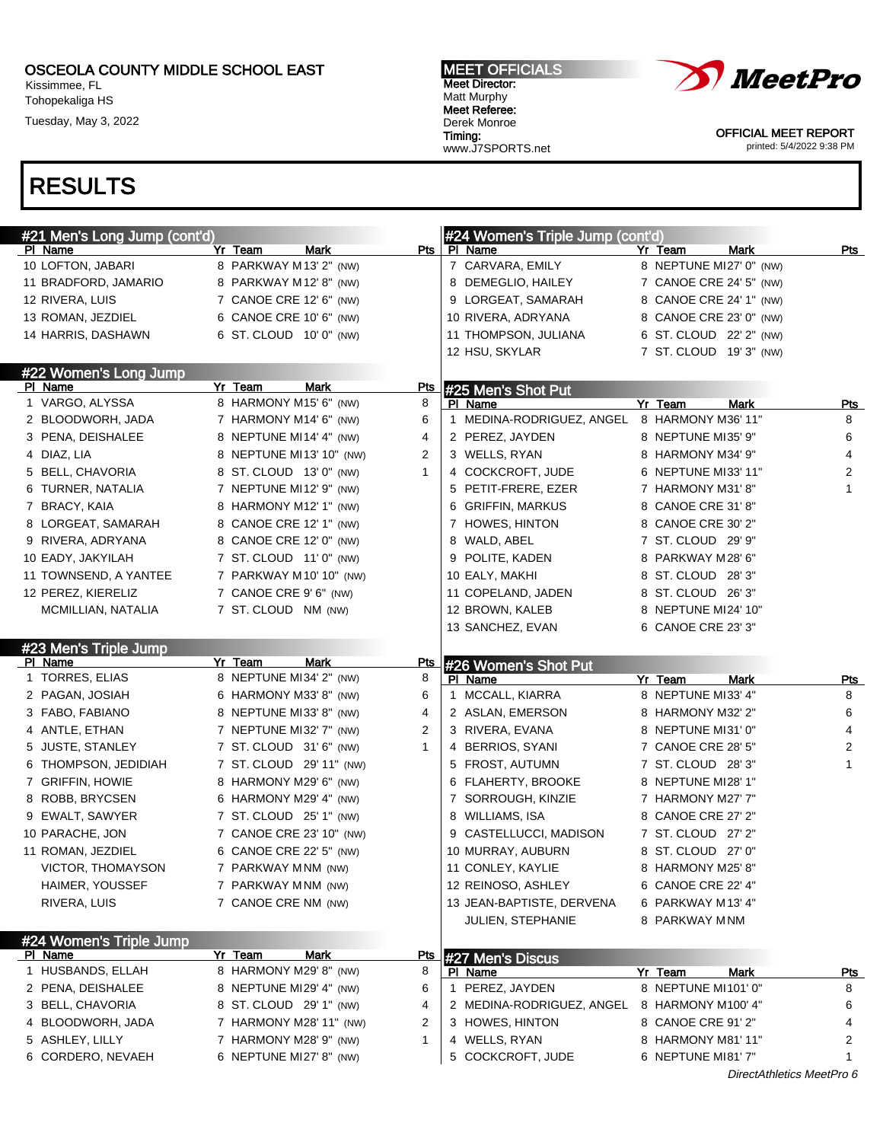Kissimmee, FL Tohopekaliga HS

Tuesday, May 3, 2022

#### MEET OFFICIALS Meet Director: Matt Murphy Meet Referee: Derek Monroe Timing: www.J7SPORTS.net



OFFICIAL MEET REPORT printed: 5/4/2022 9:38 PM

| #21 Men's Long Jump (cont'd)         |                                                     | #24 Women's Triple Jump (cont'd) |                                              |  |                                          |                 |  |
|--------------------------------------|-----------------------------------------------------|----------------------------------|----------------------------------------------|--|------------------------------------------|-----------------|--|
| PI Name                              | Yr Team<br>Mark                                     | Pts                              | PI Name                                      |  | <b>Mark</b><br>Yr Team                   | Pts             |  |
| 10 LOFTON, JABARI                    | 8 PARKWAY M13' 2" (NW)                              |                                  | 7 CARVARA, EMILY                             |  | 8 NEPTUNE MI27' 0" (NW)                  |                 |  |
| 11 BRADFORD, JAMARIO                 | 8 PARKWAY M12' 8" (NW)                              |                                  | 8 DEMEGLIO, HAILEY                           |  | 7 CANOE CRE 24' 5" (NW)                  |                 |  |
| 12 RIVERA, LUIS                      | 7 CANOE CRE 12' 6" (NW)                             |                                  | 9 LORGEAT, SAMARAH                           |  | 8 CANOE CRE 24' 1" (NW)                  |                 |  |
| 13 ROMAN, JEZDIEL                    | 6 CANOE CRE 10' 6" (NW)                             |                                  | 10 RIVERA, ADRYANA                           |  | 8 CANOE CRE 23' 0" (NW)                  |                 |  |
| 14 HARRIS, DASHAWN                   | 6 ST. CLOUD 10' 0" (NW)                             |                                  | 11 THOMPSON, JULIANA                         |  | 6 ST. CLOUD 22' 2" (NW)                  |                 |  |
|                                      |                                                     |                                  | 12 HSU, SKYLAR                               |  | 7 ST. CLOUD 19'3" (NW)                   |                 |  |
| #22 Women's Long Jump                |                                                     |                                  |                                              |  |                                          |                 |  |
| PI Name                              | <b>Mark</b><br>Yr Team                              | <u>Pts</u>                       | #25 Men's Shot Put                           |  |                                          |                 |  |
| 1 VARGO, ALYSSA                      | 8 HARMONY M15' 6" (NW)                              | 8                                | PI Name                                      |  | Yr Team<br><b>Mark</b>                   | <u>Pts</u>      |  |
| 2 BLOODWORH, JADA                    | 7 HARMONY M14' 6" (NW)                              | 6                                | 1 MEDINA-RODRIGUEZ, ANGEL                    |  | 8 HARMONY M36' 11"                       | 8               |  |
| 3 PENA, DEISHALEE                    | 8 NEPTUNE MI14' 4" (NW)                             | 4                                | 2 PEREZ, JAYDEN                              |  | 8 NEPTUNE MI35' 9"                       | 6               |  |
| 4 DIAZ, LIA                          | 8 NEPTUNE MI13' 10" (NW)                            | 2                                | 3 WELLS, RYAN                                |  | 8 HARMONY M34' 9"                        | 4               |  |
| 5 BELL, CHAVORIA                     | 8 ST. CLOUD 13' 0" (NW)                             | 1                                | 4 COCKCROFT, JUDE                            |  | 6 NEPTUNE MI33' 11"                      | 2               |  |
| 6 TURNER, NATALIA                    | 7 NEPTUNE MI12' 9" (NW)                             |                                  | 5 PETIT-FRERE, EZER                          |  | 7 HARMONY M31'8"                         | 1               |  |
| 7 BRACY, KAIA                        | 8 HARMONY M12' 1" (NW)                              |                                  | 6 GRIFFIN, MARKUS                            |  | 8 CANOE CRE 31'8"                        |                 |  |
| 8 LORGEAT, SAMARAH                   | 8 CANOE CRE 12' 1" (NW)                             |                                  | 7 HOWES, HINTON                              |  | 8 CANOE CRE 30' 2"                       |                 |  |
| 9 RIVERA, ADRYANA                    | 8 CANOE CRE 12' 0" (NW)                             |                                  | 8 WALD, ABEL                                 |  | 7 ST. CLOUD 29' 9"                       |                 |  |
| 10 EADY, JAKYILAH                    | 7 ST. CLOUD 11' 0" (NW)                             |                                  | 9 POLITE, KADEN                              |  | 8 PARKWAY M28' 6"                        |                 |  |
| 11 TOWNSEND, A YANTEE                | 7 PARKWAY M10' 10" (NW)                             |                                  | 10 EALY, MAKHI                               |  | 8 ST. CLOUD 28'3"                        |                 |  |
| 12 PEREZ, KIERELIZ                   | 7 CANOE CRE 9' 6" (NW)                              |                                  | 11 COPELAND, JADEN                           |  | 8 ST. CLOUD 26'3"                        |                 |  |
| MCMILLIAN, NATALIA                   | 7 ST. CLOUD NM (NW)                                 |                                  | 12 BROWN, KALEB                              |  | 8 NEPTUNE MI24' 10"                      |                 |  |
|                                      |                                                     |                                  | 13 SANCHEZ, EVAN                             |  | 6 CANOE CRE 23' 3"                       |                 |  |
| #23 Men's Triple Jump                |                                                     |                                  |                                              |  |                                          |                 |  |
|                                      |                                                     |                                  |                                              |  |                                          |                 |  |
| PI Name                              | Mark                                                | Pts                              |                                              |  |                                          |                 |  |
| 1 TORRES, ELIAS                      | Yr Team<br>8 NEPTUNE MI34' 2" (NW)                  | 8                                | #26 Women's Shot Put<br>PI Name              |  | Yr Team<br>Mark                          |                 |  |
| 2 PAGAN, JOSIAH                      | 6 HARMONY M33' 8" (NW)                              | 6                                | MCCALL, KIARRA<br>$\mathbf{1}$               |  | 8 NEPTUNE MI33' 4"                       | <u>Pts</u><br>8 |  |
| 3 FABO, FABIANO                      | 8 NEPTUNE MI33'8" (NW)                              | 4                                | 2 ASLAN, EMERSON                             |  | 8 HARMONY M32' 2"                        | 6               |  |
| 4 ANTLE, ETHAN                       | 7 NEPTUNE MI32' 7" (NW)                             | 2                                | 3 RIVERA, EVANA                              |  | 8 NEPTUNE MI31' 0"                       | 4               |  |
| 5 JUSTE, STANLEY                     |                                                     | $\mathbf{1}$                     |                                              |  | 7 CANOE CRE 28' 5"                       | 2               |  |
| 6 THOMPSON, JEDIDIAH                 | 7 ST. CLOUD 31' 6" (NW)<br>7 ST. CLOUD 29' 11" (NW) |                                  | 4 BERRIOS, SYANI                             |  | 7 ST. CLOUD 28'3"                        | $\mathbf{1}$    |  |
|                                      |                                                     |                                  | 5 FROST, AUTUMN                              |  |                                          |                 |  |
| 7 GRIFFIN, HOWIE                     | 8 HARMONY M29' 6" (NW)                              |                                  | 6 FLAHERTY, BROOKE<br>7 SORROUGH, KINZIE     |  | 8 NEPTUNE MI28' 1"<br>7 HARMONY M27' 7"  |                 |  |
| 8 ROBB, BRYCSEN                      | 6 HARMONY M29' 4" (NW)                              |                                  |                                              |  |                                          |                 |  |
| 9 EWALT, SAWYER                      | 7 ST. CLOUD 25' 1" (NW)                             |                                  | 8 WILLIAMS, ISA                              |  | 8 CANOE CRE 27' 2"                       |                 |  |
| 10 PARACHE, JON                      | 7 CANOE CRE 23' 10" (NW)                            |                                  | 9 CASTELLUCCI, MADISON                       |  | 7 ST. CLOUD 27' 2"                       |                 |  |
| 11 ROMAN, JEZDIEL                    | 6 CANOE CRE 22' 5" (NW)                             |                                  | 10 MURRAY, AUBURN                            |  | 8 ST. CLOUD 27' 0"                       |                 |  |
| VICTOR, THOMAYSON                    | 7 PARKWAY MNM (NW)                                  |                                  | 11 CONLEY, KAYLIE                            |  | 8 HARMONY M25' 8"                        |                 |  |
| HAIMER, YOUSSEF                      | 7 PARKWAY MNM (NW)                                  |                                  | 12 REINOSO, ASHLEY                           |  | 6 CANOE CRE 22' 4"                       |                 |  |
| RIVERA, LUIS                         | 7 CANOE CRE NM (NW)                                 |                                  | 13 JEAN-BAPTISTE, DERVENA                    |  | 6 PARKWAY M13' 4"                        |                 |  |
|                                      |                                                     |                                  | <b>JULIEN, STEPHANIE</b>                     |  | 8 PARKWAY MNM                            |                 |  |
| #24 Women's Triple Jump              |                                                     |                                  |                                              |  |                                          |                 |  |
| <u>PI Name</u>                       | Yr Team<br><b>Mark</b>                              | <u>Pts</u>                       | #27 Men's Discus                             |  |                                          |                 |  |
| 1 HUSBANDS, ELLAH                    | 8 HARMONY M29' 8" (NW)                              | 8                                | PI Name                                      |  | Yr Team<br>Mark                          | <u>Pts</u>      |  |
| 2 PENA, DEISHALEE                    | 8 NEPTUNE MI29' 4" (NW)                             | 6                                | 1 PEREZ, JAYDEN                              |  | 8 NEPTUNE MI101' 0"                      | 8               |  |
| 3 BELL, CHAVORIA                     | 8 ST. CLOUD 29' 1" (NW)                             | 4                                | 2 MEDINA-RODRIGUEZ, ANGEL 8 HARMONY M100' 4" |  |                                          | 6               |  |
| 4 BLOODWORH, JADA                    | 7 HARMONY M28' 11" (NW)                             | 2                                | 3 HOWES, HINTON                              |  | 8 CANOE CRE 91' 2"                       | 4               |  |
| 5 ASHLEY, LILLY<br>6 CORDERO, NEVAEH | 7 HARMONY M28' 9" (NW)<br>6 NEPTUNE MI27' 8" (NW)   | 1                                | 4 WELLS, RYAN<br>5 COCKCROFT, JUDE           |  | 8 HARMONY M81' 11"<br>6 NEPTUNE MI81' 7" | 2               |  |